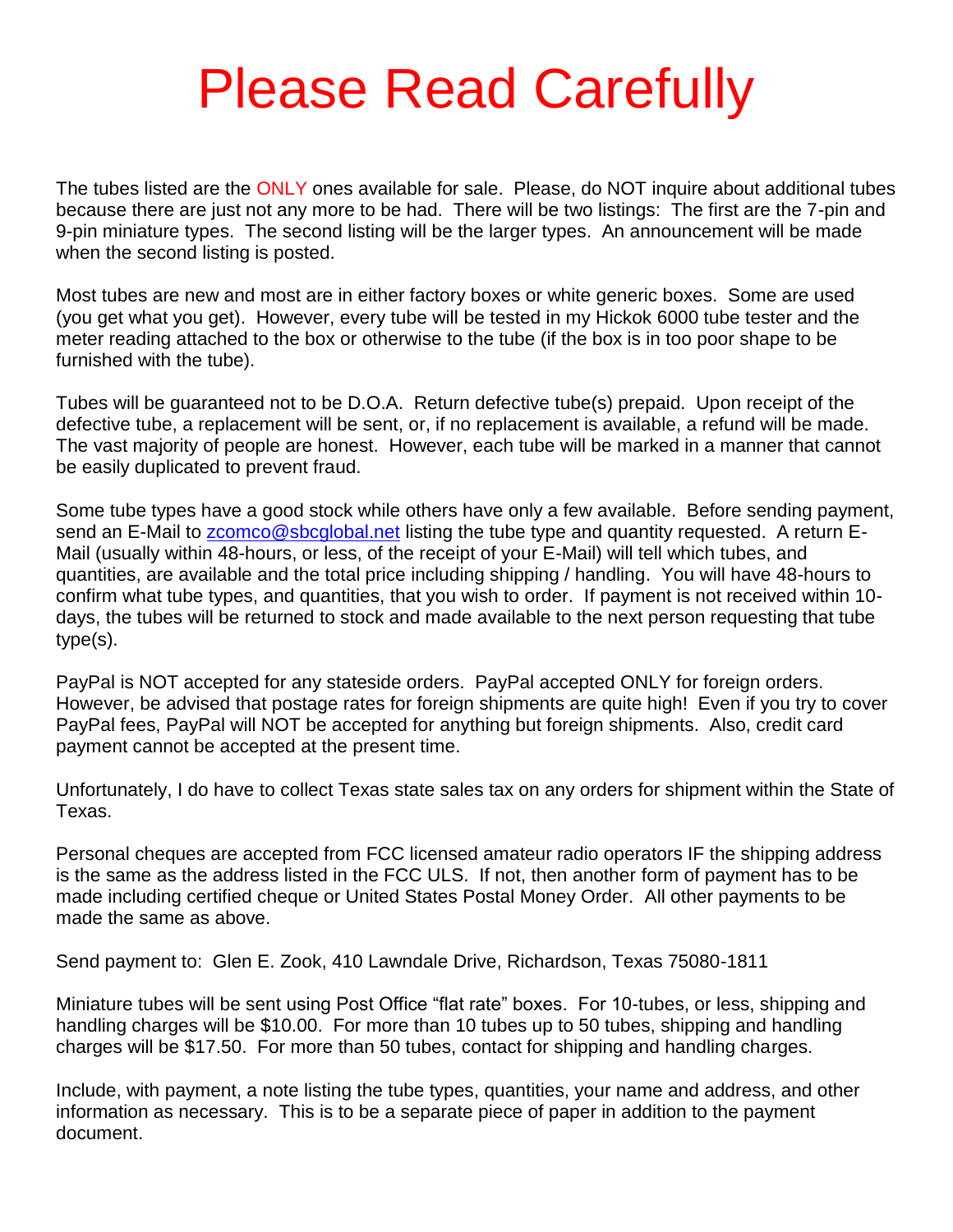## Please Read Carefully

The tubes listed are the ONLY ones available for sale. Please, do NOT inquire about additional tubes because there are just not any more to be had. There will be two listings: The first are the 7-pin and 9-pin miniature types. The second listing will be the larger types. An announcement will be made when the second listing is posted.

Most tubes are new and most are in either factory boxes or white generic boxes. Some are used (you get what you get). However, every tube will be tested in my Hickok 6000 tube tester and the meter reading attached to the box or otherwise to the tube (if the box is in too poor shape to be furnished with the tube).

Tubes will be guaranteed not to be D.O.A. Return defective tube(s) prepaid. Upon receipt of the defective tube, a replacement will be sent, or, if no replacement is available, a refund will be made. The vast majority of people are honest. However, each tube will be marked in a manner that cannot be easily duplicated to prevent fraud.

Some tube types have a good stock while others have only a few available. Before sending payment, send an E-Mail to [zcomco@sbcglobal.net](mailto:zcomco@sbcglobal.net) listing the tube type and quantity requested. A return E-Mail (usually within 48-hours, or less, of the receipt of your E-Mail) will tell which tubes, and quantities, are available and the total price including shipping / handling. You will have 48-hours to confirm what tube types, and quantities, that you wish to order. If payment is not received within 10 days, the tubes will be returned to stock and made available to the next person requesting that tube type(s).

PayPal is NOT accepted for any stateside orders. PayPal accepted ONLY for foreign orders. However, be advised that postage rates for foreign shipments are quite high! Even if you try to cover PayPal fees, PayPal will NOT be accepted for anything but foreign shipments. Also, credit card payment cannot be accepted at the present time.

Unfortunately, I do have to collect Texas state sales tax on any orders for shipment within the State of Texas.

Personal cheques are accepted from FCC licensed amateur radio operators IF the shipping address is the same as the address listed in the FCC ULS. If not, then another form of payment has to be made including certified cheque or United States Postal Money Order. All other payments to be made the same as above.

Send payment to: Glen E. Zook, 410 Lawndale Drive, Richardson, Texas 75080-1811

Miniature tubes will be sent using Post Office "flat rate" boxes. For 10-tubes, or less, shipping and handling charges will be \$10.00. For more than 10 tubes up to 50 tubes, shipping and handling charges will be \$17.50. For more than 50 tubes, contact for shipping and handling charges.

Include, with payment, a note listing the tube types, quantities, your name and address, and other information as necessary. This is to be a separate piece of paper in addition to the payment document.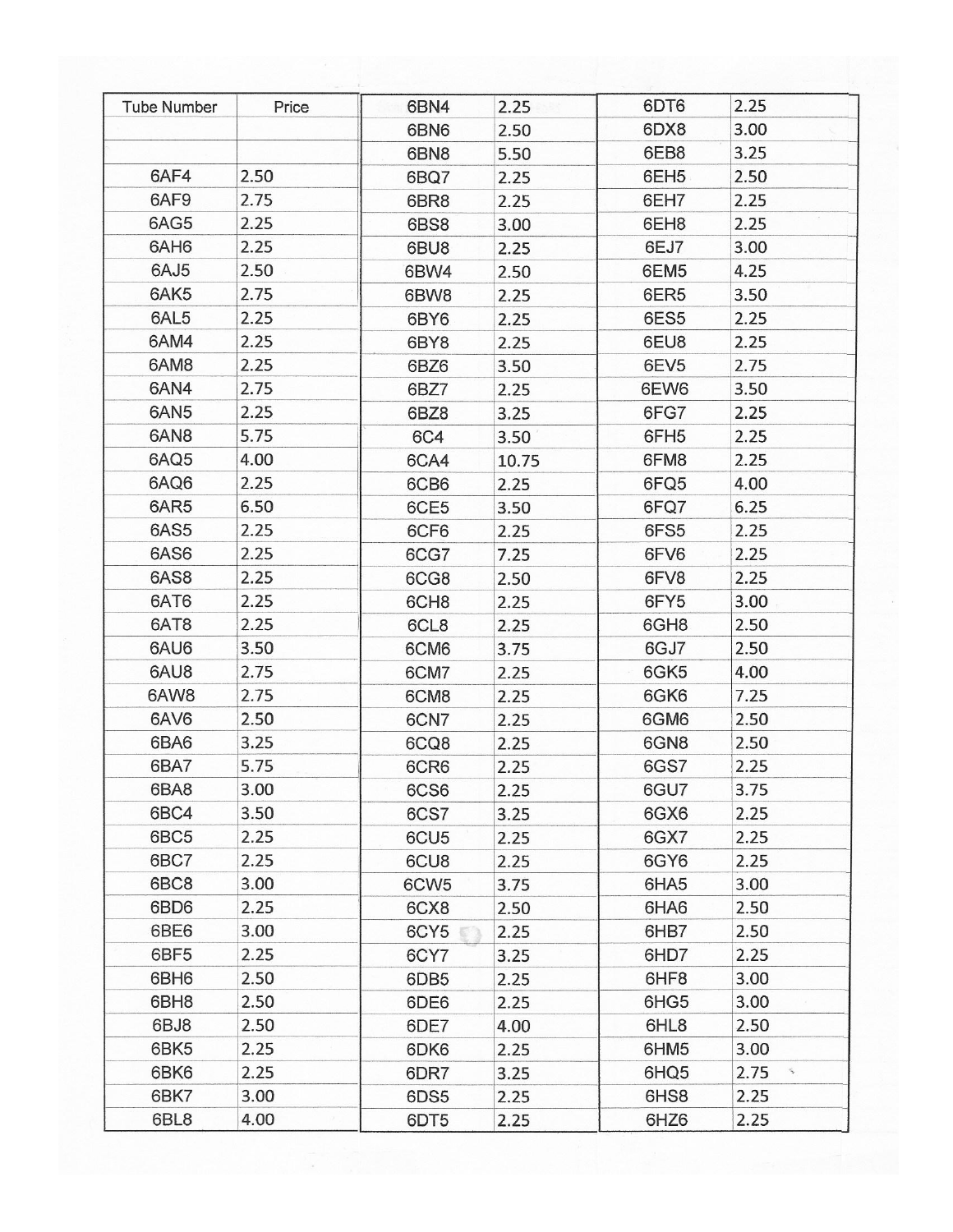| <b>Tube Number</b> | Price | 6BN4             | 2.25  | 6DT6             | 2.25                     |
|--------------------|-------|------------------|-------|------------------|--------------------------|
|                    |       | 6BN6             | 2.50  | 6DX8             | 3.00                     |
|                    |       | 6BN8             | 5.50  | 6EB8             | 3.25                     |
| 6AF4               | 2.50  | 6BQ7             | 2.25  | 6EH <sub>5</sub> | 2.50                     |
| 6AF9               | 2.75  | 6BR8             | 2.25  | 6EH7             | 2.25                     |
| 6AG5               | 2.25  | 6BS8             | 3.00  | 6EH8             | 2.25                     |
| 6AH6               | 2.25  | 6BU8             | 2.25  | 6EJ7             | 3.00                     |
| 6AJ5               | 2.50  | 6BW4             | 2.50  | 6EM <sub>5</sub> | 4.25                     |
| 6AK5               | 2.75  |                  |       | 6ER5             | 3.50                     |
| 6AL5               | 2.25  | 6BW8             | 2.25  | 6ES <sub>5</sub> | 2.25                     |
|                    |       | 6BY6             | 2.25  |                  |                          |
| 6AM4               | 2.25  | 6BY8             | 2.25  | 6EU8             | 2.25                     |
| 6AM8               | 2.25  | 6BZ6             | 3.50  | 6EV <sub>5</sub> | 2.75                     |
| 6AN4               | 2.75  | 6BZ7             | 2.25  | 6EW6             | 3.50                     |
| 6AN5               | 2.25  | 6BZ8             | 3.25  | 6FG7             | 2.25                     |
| 6AN8               | 5.75  | 6C4              | 3.50  | 6FH <sub>5</sub> | 2.25                     |
| 6AQ5               | 4.00  | 6CA4             | 10.75 | 6FM8             | 2.25                     |
| 6AQ6               | 2.25  | 6CB6             | 2.25  | 6FQ5             | 4.00                     |
| 6AR5               | 6.50  | 6CE5             | 3.50  | 6FQ7             | 6.25                     |
| 6AS5               | 2.25  | 6CF6             | 2.25  | 6FS5             | 2.25                     |
| 6AS6               | 2.25  | 6CG7             | 7.25  | 6FV6             | 2.25                     |
| 6AS8               | 2.25  | 6CG8             | 2.50  | 6FV8             | 2.25                     |
| 6AT6               | 2.25  | 6CH <sub>8</sub> | 2.25  | 6FY5             | 3.00                     |
| 6AT8               | 2.25  | 6CL8             | 2.25  | 6GH <sub>8</sub> | 2.50                     |
| 6AU6               | 3.50  | 6CM6             | 3.75  | 6GJ7             | 2.50                     |
| 6AU8               | 2.75  | 6CM7             | 2.25  | 6GK5             | 4.00                     |
| 6AW8               | 2.75  | 6CM8             | 2.25  | 6GK6             | 7.25                     |
| 6AV6               | 2.50  | 6CN7             | 2.25  | 6GM6             | 2.50                     |
| 6BA6               | 3.25  | 6CQ8             | 2.25  | 6GN8             | 2.50                     |
| 6BA7               | 5.75  | 6CR6             | 2.25  | 6GS7             | 2.25                     |
| 6BA8               | 3.00  | 6CS6             | 2.25  | 6GU7             | 3.75                     |
| 6BC4               | 3.50  | 6CS7             | 3.25  | 6GX6             | 2.25                     |
| 6BC <sub>5</sub>   | 2.25  | 6CU <sub>5</sub> | 2.25  | 6GX7             | 2.25                     |
| 6BC7               | 2.25  | 6CU8             | 2.25  | 6GY6             | 2.25                     |
| 6BC8               | 3.00  | 6CW <sub>5</sub> | 3.75  | 6HA5             | 3.00                     |
| 6BD6               | 2.25  | 6CX8             | 2.50  | 6HA6             | 2.50                     |
| 6BE6               | 3.00  | 6CY5             | 2.25  | 6HB7             | 2.50                     |
| 6BF5               | 2.25  | 6CY7             | 3.25  | 6HD7             | 2.25                     |
| 6BH <sub>6</sub>   | 2.50  | 6DB <sub>5</sub> | 2.25  | 6HF8             | 3.00                     |
| 6BH <sub>8</sub>   | 2.50  | 6DE6             | 2.25  | 6HG5             | 3.00                     |
| 6BJ8               | 2.50  | 6DE7             | 4.00  | 6HL8             | 2.50                     |
| 6BK5               | 2.25  | 6DK6             | 2.25  | 6HM5             | 3.00                     |
| 6BK6               | 2.25  | 6DR7             | 3.25  | 6HQ5             | 2.75<br>$\sigma_{\rm p}$ |
| 6BK7               | 3.00  | 6DS5             | 2.25  | 6HS8             | 2.25                     |
| 6BL8               | 4.00  | 6DT5             | 2.25  | 6HZ6             | 2.25                     |

 $\lambda$